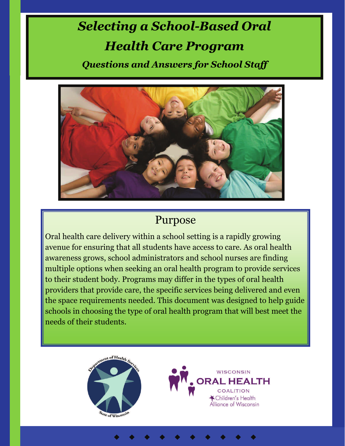# *Selecting a School-Based Oral Health Care Program*

*Questions and Answers for School Staff* 



## Purpose

Oral health care delivery within a school setting is a rapidly growing avenue for ensuring that all students have access to care. As oral health awareness grows, school administrators and school nurses are finding multiple options when seeking an oral health program to provide services to their student body. Programs may differ in the types of oral health providers that provide care, the specific services being delivered and even the space requirements needed. This document was designed to help guide schools in choosing the type of oral health program that will best meet the needs of their students.



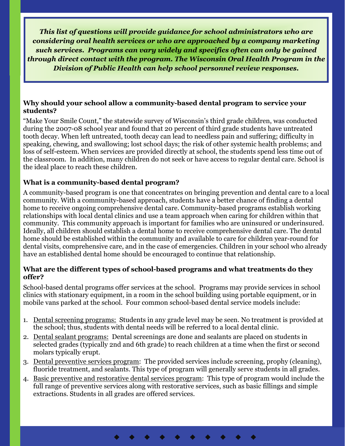*This list of questions will provide guidance for school administrators who are considering oral health services or who are approached by a company marketing such services. Programs can vary widely and specifics often can only be gained through direct contact with the program. The Wisconsin Oral Health Program in the Division of Public Health can help school personnel review responses.* 

#### **Why should your school allow a community-based dental program to service your students?**

"Make Your Smile Count," the statewide survey of Wisconsin's third grade children, was conducted during the 2007-08 school year and found that 20 percent of third grade students have untreated tooth decay. When left untreated, tooth decay can lead to needless pain and suffering; difficulty in speaking, chewing, and swallowing; lost school days; the risk of other systemic health problems; and loss of self-esteem. When services are provided directly at school, the students spend less time out of the classroom. In addition, many children do not seek or have access to regular dental care. School is the ideal place to reach these children.

#### **What is a community-based dental program?**

A community-based program is one that concentrates on bringing prevention and dental care to a local community. With a community-based approach, students have a better chance of finding a dental home to receive ongoing comprehensive dental care. Community-based programs establish working relationships with local dental clinics and use a team approach when caring for children within that community. This community approach is important for families who are uninsured or underinsured. Ideally, all children should establish a dental home to receive comprehensive dental care. The dental home should be established within the community and available to care for children year-round for dental visits, comprehensive care, and in the case of emergencies. Children in your school who already have an established dental home should be encouraged to continue that relationship.

#### **What are the different types of school-based programs and what treatments do they offer?**

School-based dental programs offer services at the school. Programs may provide services in school clinics with stationary equipment, in a room in the school building using portable equipment, or in mobile vans parked at the school. Four common school-based dental service models include:

- 1. Dental screening programs: Students in any grade level may be seen. No treatment is provided at the school; thus, students with dental needs will be referred to a local dental clinic.
- 2. Dental sealant programs: Dental screenings are done and sealants are placed on students in selected grades (typically 2nd and 6th grade) to reach children at a time when the first or second molars typically erupt.
- 3. Dental preventive services program: The provided services include screening, prophy (cleaning), fluoride treatment, and sealants. This type of program will generally serve students in all grades.
- 4. Basic preventive and restorative dental services program: This type of program would include the full range of preventive services along with restorative services, such as basic fillings and simple extractions. Students in all grades are offered services.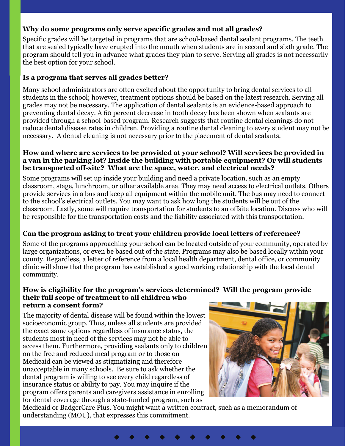#### **Why do some programs only serve specific grades and not all grades?**

Specific grades will be targeted in programs that are school-based dental sealant programs. The teeth that are sealed typically have erupted into the mouth when students are in second and sixth grade. The program should tell you in advance what grades they plan to serve. Serving all grades is not necessarily the best option for your school.

#### **Is a program that serves all grades better?**

Many school administrators are often excited about the opportunity to bring dental services to all students in the school; however, treatment options should be based on the latest research. Serving all grades may not be necessary. The application of dental sealants is an evidence-based approach to preventing dental decay. A 60 percent decrease in tooth decay has been shown when sealants are provided through a school-based program. Research suggests that routine dental cleanings do not reduce dental disease rates in children. Providing a routine dental cleaning to every student may not be necessary. A dental cleaning is not necessary prior to the placement of dental sealants.

#### **How and where are services to be provided at your school? Will services be provided in a van in the parking lot? Inside the building with portable equipment? Or will students be transported off-site? What are the space, water, and electrical needs?**

Some programs will set up inside your building and need a private location, such as an empty classroom, stage, lunchroom, or other available area. They may need access to electrical outlets. Others provide services in a bus and keep all equipment within the mobile unit. The bus may need to connect to the school's electrical outlets. You may want to ask how long the students will be out of the classroom. Lastly, some will require transportation for students to an offsite location. Discuss who will be responsible for the transportation costs and the liability associated with this transportation.

### **Can the program asking to treat your children provide local letters of reference?**

Some of the programs approaching your school can be located outside of your community, operated by large organizations, or even be based out of the state. Programs may also be based locally within your county. Regardless, a letter of reference from a local health department, dental office, or community clinic will show that the program has established a good working relationship with the local dental community.

#### **How is eligibility for the program's services determined? Will the program provide their full scope of treatment to all children who return a consent form?**

The majority of dental disease will be found within the lowest socioeconomic group. Thus, unless all students are provided the exact same options regardless of insurance status, the students most in need of the services may not be able to access them. Furthermore, providing sealants only to children on the free and reduced meal program or to those on Medicaid can be viewed as stigmatizing and therefore unacceptable in many schools. Be sure to ask whether the dental program is willing to see every child regardless of insurance status or ability to pay. You may inquire if the program offers parents and caregivers assistance in enrolling for dental coverage through a state-funded program, such as



Medicaid or BadgerCare Plus. You might want a written contract, such as a memorandum of understanding (MOU), that expresses this commitment.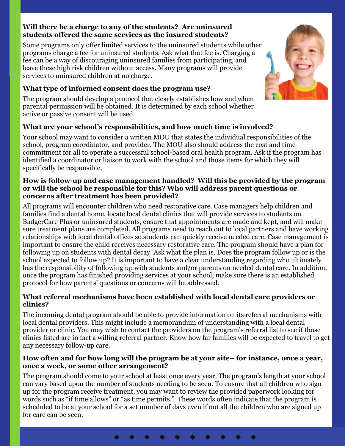#### **Will there be a charge to any of the students? Are uninsured students offered the same services as the insured students?**

Some programs only offer limited services to the uninsured students while other programs charge a fee for uninsured students. Ask what that fee is. Charging a fee can be a way of discouraging uninsured families from participating, and leave these high risk children without access. Many programs will provide services to uninsured children at no charge.

#### **What type of informed consent does the program use?**

The program should develop a protocol that clearly establishes how and when parental permission will be obtained. It is determined by each school whether active or passive consent will be used.

#### **What are your school's responsibilities, and how much time is involved?**

Your school may want to consider a written MOU that states the individual responsibilities of the school, program coordinator, and provider. The MOU also should address the cost and time commitment for all to operate a successful school-based oral health program. Ask if the program has identified a coordinator or liaison to work with the school and those items for which they will specifically be responsible.

#### **How is follow-up and case management handled? Will this be provided by the program or will the school be responsible for this? Who will address parent questions or concerns after treatment has been provided?**

All programs will encounter children who need restorative care. Case managers help children and families find a dental home, locate local dental clinics that will provide services to students on BadgerCare Plus or uninsured students, ensure that appointments are made and kept, and will make sure treatment plans are completed. All programs need to reach out to local partners and have working relationships with local dental offices so students can quickly receive needed care. Case management is important to ensure the child receives necessary restorative care. The program should have a plan for following up on students with dental decay. Ask what the plan is. Does the program follow up or is the school expected to follow up? It is important to have a clear understanding regarding who ultimately has the responsibility of following up with students and/or parents on needed dental care. In addition, once the program has finished providing services at your school, make sure there is an established protocol for how parents' questions or concerns will be addressed.

#### **What referral mechanisms have been established with local dental care providers or clinics?**

The incoming dental program should be able to provide information on its referral mechanisms with local dental providers. This might include a memorandum of understanding with a local dental provider or clinic. You may wish to contact the providers on the program's referral list to see if those clinics listed are in fact a willing referral partner. Know how far families will be expected to travel to get any necessary follow-up care.

#### **How often and for how long will the program be at your site– for instance, once a year, once a week, or some other arrangement?**

The program should come to your school at least once every year. The program's length at your school can vary based upon the number of students needing to be seen. To ensure that all children who sign up for the program receive treatment, you may want to review the provided paperwork looking for words such as "if time allows" or "as time permits." These words often indicate that the program is scheduled to be at your school for a set number of days even if not all the children who are signed up for care can be seen.

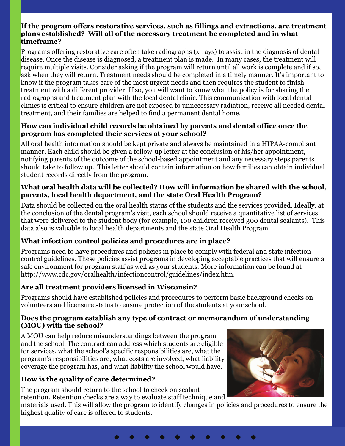#### **If the program offers restorative services, such as fillings and extractions, are treatment plans established? Will all of the necessary treatment be completed and in what timeframe?**

Programs offering restorative care often take radiographs (x-rays) to assist in the diagnosis of dental disease. Once the disease is diagnosed, a treatment plan is made. In many cases, the treatment will require multiple visits. Consider asking if the program will return until all work is complete and if so, ask when they will return. Treatment needs should be completed in a timely manner. It's important to know if the program takes care of the most urgent needs and then requires the student to finish treatment with a different provider. If so, you will want to know what the policy is for sharing the radiographs and treatment plan with the local dental clinic. This communication with local dental clinics is critical to ensure children are not exposed to unnecessary radiation, receive all needed dental treatment, and their families are helped to find a permanent dental home.

#### **How can individual child records be obtained by parents and dental office once the program has completed their services at your school?**

All oral health information should be kept private and always be maintained in a HIPAA-compliant manner. Each child should be given a follow-up letter at the conclusion of his/her appointment, notifying parents of the outcome of the school-based appointment and any necessary steps parents should take to follow up. This letter should contain information on how families can obtain individual student records directly from the program.

#### **What oral health data will be collected? How will information be shared with the school, parents, local health department, and the state Oral Health Program?**

Data should be collected on the oral health status of the students and the services provided. Ideally, at the conclusion of the dental program's visit, each school should receive a quantitative list of services that were delivered to the student body (for example, 100 children received 300 dental sealants). This data also is valuable to local health departments and the state Oral Health Program.

### **What infection control policies and procedures are in place?**

Programs need to have procedures and policies in place to comply with federal and state infection control guidelines. These policies assist programs in developing acceptable practices that will ensure a safe environment for program staff as well as your students. More information can be found at http://www.cdc.gov/oralhealth/infectioncontrol/guidelines/index.htm.

### **Are all treatment providers licensed in Wisconsin?**

Programs should have established policies and procedures to perform basic background checks on volunteers and licensure status to ensure protection of the students at your school.

#### **Does the program establish any type of contract or memorandum of understanding (MOU) with the school?**

A MOU can help reduce misunderstandings between the program and the school. The contract can address which students are eligible for services, what the school's specific responsibilities are, what the program's responsibilities are, what costs are involved, what liability coverage the program has, and what liability the school would have.

### **How is the quality of care determined?**

The program should return to the school to check on sealant retention. Retention checks are a way to evaluate staff technique and

materials used. This will allow the program to identify changes in policies and procedures to ensure the highest quality of care is offered to students.